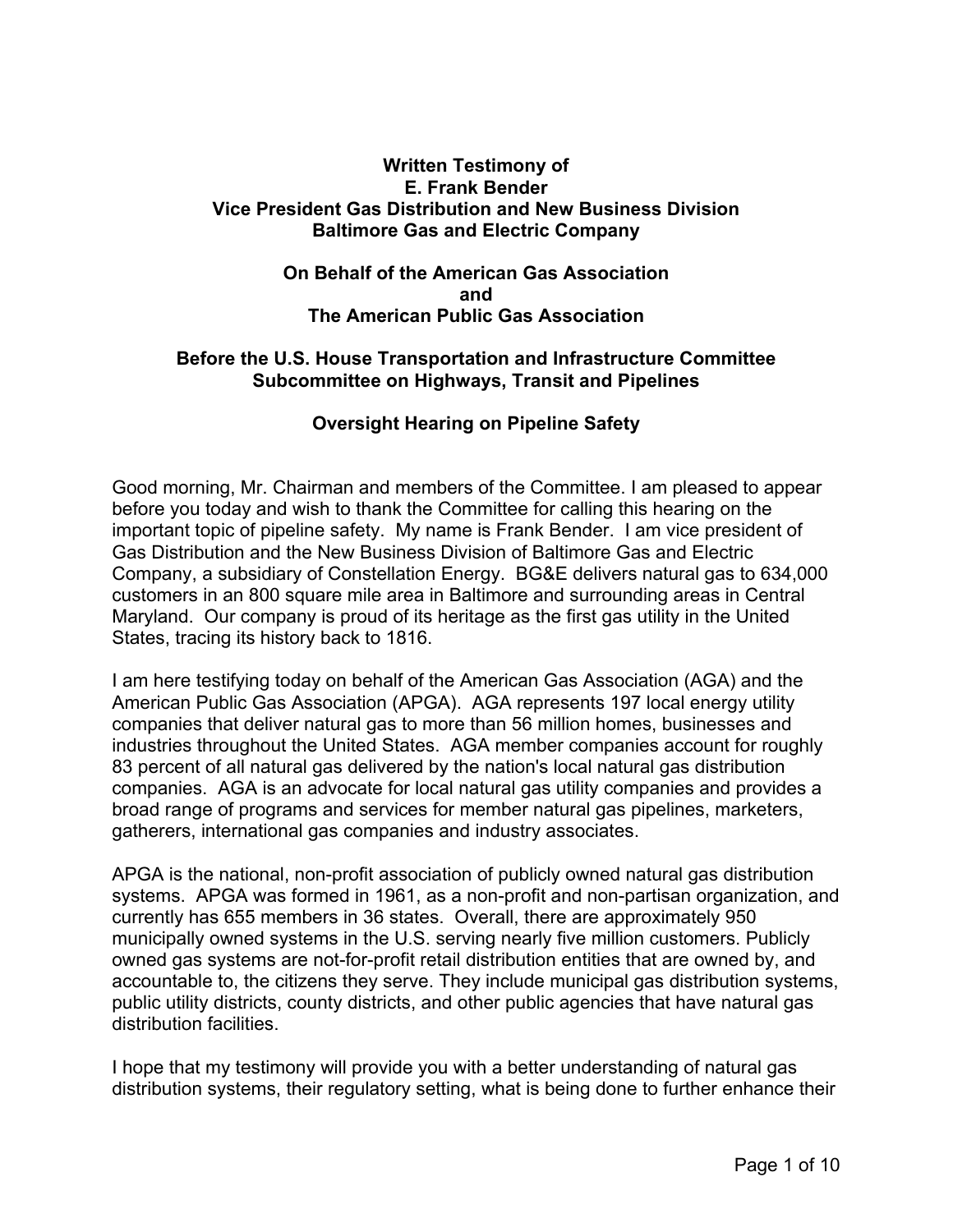## **Written Testimony of E. Frank Bender Vice President Gas Distribution and New Business Division Baltimore Gas and Electric Company**

### **On Behalf of the American Gas Association and The American Public Gas Association**

### **Before the U.S. House Transportation and Infrastructure Committee Subcommittee on Highways, Transit and Pipelines**

# **Oversight Hearing on Pipeline Safety**

Good morning, Mr. Chairman and members of the Committee. I am pleased to appear before you today and wish to thank the Committee for calling this hearing on the important topic of pipeline safety. My name is Frank Bender. I am vice president of Gas Distribution and the New Business Division of Baltimore Gas and Electric Company, a subsidiary of Constellation Energy. BG&E delivers natural gas to 634,000 customers in an 800 square mile area in Baltimore and surrounding areas in Central Maryland. Our company is proud of its heritage as the first gas utility in the United States, tracing its history back to 1816.

I am here testifying today on behalf of the American Gas Association (AGA) and the American Public Gas Association (APGA). AGA represents 197 local energy utility companies that deliver natural gas to more than 56 million homes, businesses and industries throughout the United States. AGA member companies account for roughly 83 percent of all natural gas delivered by the nation's local natural gas distribution companies. AGA is an advocate for local natural gas utility companies and provides a broad range of programs and services for member natural gas pipelines, marketers, gatherers, international gas companies and industry associates.

APGA is the national, non-profit association of publicly owned natural gas distribution systems. APGA was formed in 1961, as a non-profit and non-partisan organization, and currently has 655 members in 36 states. Overall, there are approximately 950 municipally owned systems in the U.S. serving nearly five million customers. Publicly owned gas systems are not-for-profit retail distribution entities that are owned by, and accountable to, the citizens they serve. They include municipal gas distribution systems, public utility districts, county districts, and other public agencies that have natural gas distribution facilities.

I hope that my testimony will provide you with a better understanding of natural gas distribution systems, their regulatory setting, what is being done to further enhance their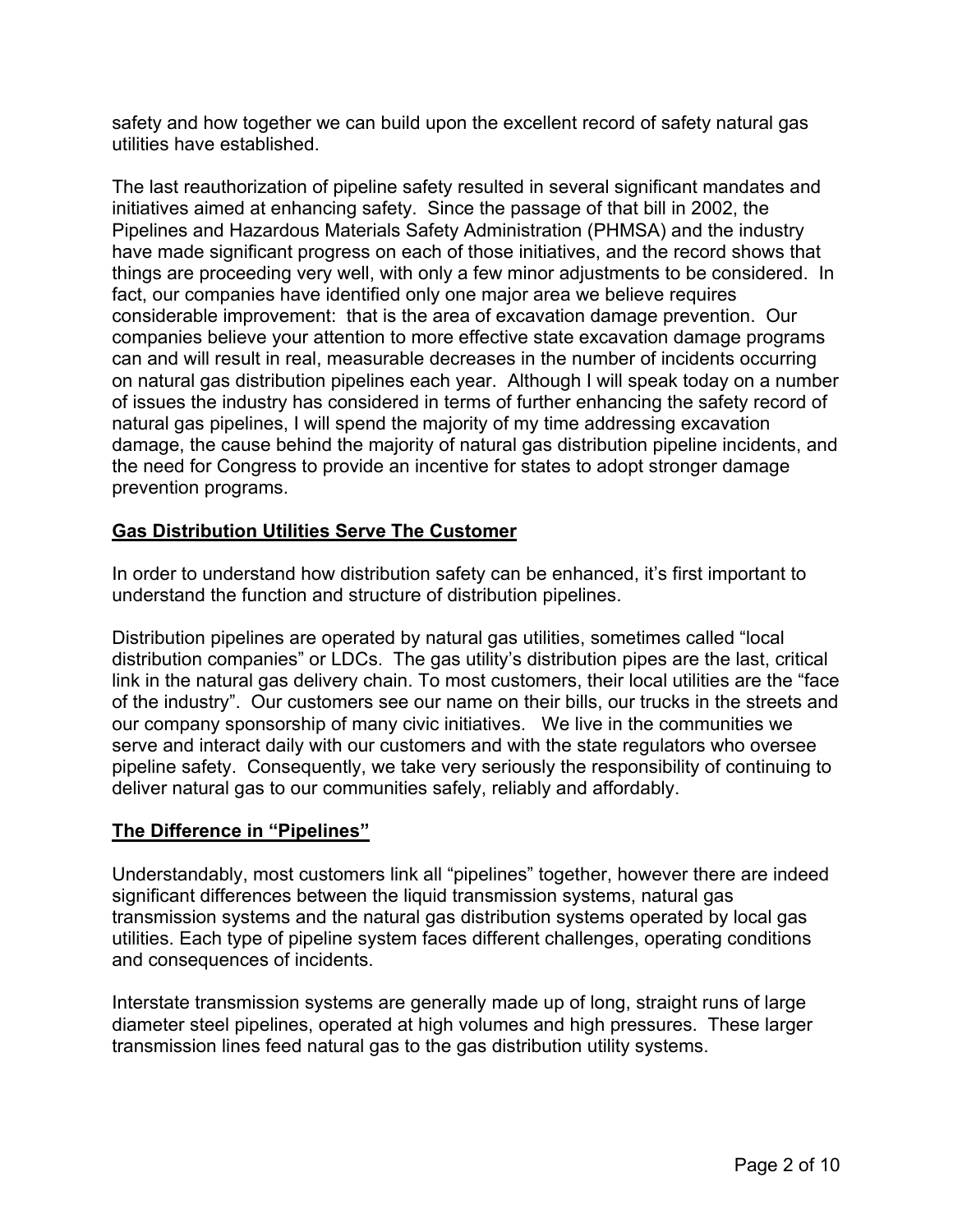safety and how together we can build upon the excellent record of safety natural gas utilities have established.

The last reauthorization of pipeline safety resulted in several significant mandates and initiatives aimed at enhancing safety. Since the passage of that bill in 2002, the Pipelines and Hazardous Materials Safety Administration (PHMSA) and the industry have made significant progress on each of those initiatives, and the record shows that things are proceeding very well, with only a few minor adjustments to be considered. In fact, our companies have identified only one major area we believe requires considerable improvement: that is the area of excavation damage prevention. Our companies believe your attention to more effective state excavation damage programs can and will result in real, measurable decreases in the number of incidents occurring on natural gas distribution pipelines each year. Although I will speak today on a number of issues the industry has considered in terms of further enhancing the safety record of natural gas pipelines, I will spend the majority of my time addressing excavation damage, the cause behind the majority of natural gas distribution pipeline incidents, and the need for Congress to provide an incentive for states to adopt stronger damage prevention programs.

# **Gas Distribution Utilities Serve The Customer**

In order to understand how distribution safety can be enhanced, it's first important to understand the function and structure of distribution pipelines.

Distribution pipelines are operated by natural gas utilities, sometimes called "local distribution companies" or LDCs. The gas utility's distribution pipes are the last, critical link in the natural gas delivery chain. To most customers, their local utilities are the "face of the industry". Our customers see our name on their bills, our trucks in the streets and our company sponsorship of many civic initiatives. We live in the communities we serve and interact daily with our customers and with the state regulators who oversee pipeline safety. Consequently, we take very seriously the responsibility of continuing to deliver natural gas to our communities safely, reliably and affordably.

# **The Difference in "Pipelines"**

Understandably, most customers link all "pipelines" together, however there are indeed significant differences between the liquid transmission systems, natural gas transmission systems and the natural gas distribution systems operated by local gas utilities. Each type of pipeline system faces different challenges, operating conditions and consequences of incidents.

Interstate transmission systems are generally made up of long, straight runs of large diameter steel pipelines, operated at high volumes and high pressures. These larger transmission lines feed natural gas to the gas distribution utility systems.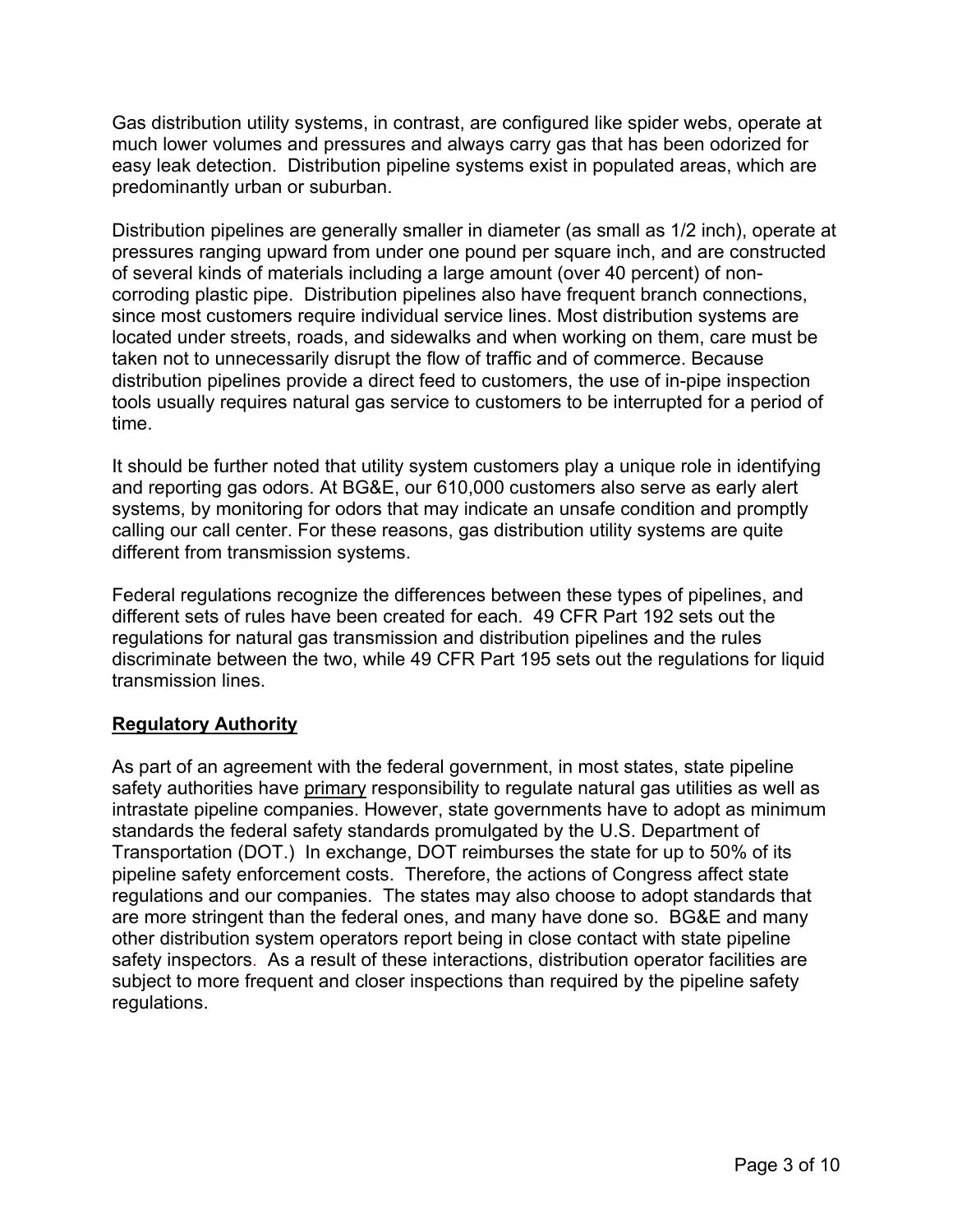Gas distribution utility systems, in contrast, are configured like spider webs, operate at much lower volumes and pressures and always carry gas that has been odorized for easy leak detection. Distribution pipeline systems exist in populated areas, which are predominantly urban or suburban.

Distribution pipelines are generally smaller in diameter (as small as 1/2 inch), operate at pressures ranging upward from under one pound per square inch, and are constructed of several kinds of materials including a large amount (over 40 percent) of noncorroding plastic pipe. Distribution pipelines also have frequent branch connections, since most customers require individual service lines. Most distribution systems are located under streets, roads, and sidewalks and when working on them, care must be taken not to unnecessarily disrupt the flow of traffic and of commerce. Because distribution pipelines provide a direct feed to customers, the use of in-pipe inspection tools usually requires natural gas service to customers to be interrupted for a period of time.

It should be further noted that utility system customers play a unique role in identifying and reporting gas odors. At BG&E, our 610,000 customers also serve as early alert systems, by monitoring for odors that may indicate an unsafe condition and promptly calling our call center. For these reasons, gas distribution utility systems are quite different from transmission systems.

Federal regulations recognize the differences between these types of pipelines, and different sets of rules have been created for each. 49 CFR Part 192 sets out the regulations for natural gas transmission and distribution pipelines and the rules discriminate between the two, while 49 CFR Part 195 sets out the regulations for liquid transmission lines.

# **Regulatory Authority**

As part of an agreement with the federal government, in most states, state pipeline safety authorities have primary responsibility to regulate natural gas utilities as well as intrastate pipeline companies. However, state governments have to adopt as minimum standards the federal safety standards promulgated by the U.S. Department of Transportation (DOT.) In exchange, DOT reimburses the state for up to 50% of its pipeline safety enforcement costs. Therefore, the actions of Congress affect state regulations and our companies. The states may also choose to adopt standards that are more stringent than the federal ones, and many have done so. BG&E and many other distribution system operators report being in close contact with state pipeline safety inspectors. As a result of these interactions, distribution operator facilities are subject to more frequent and closer inspections than required by the pipeline safety regulations.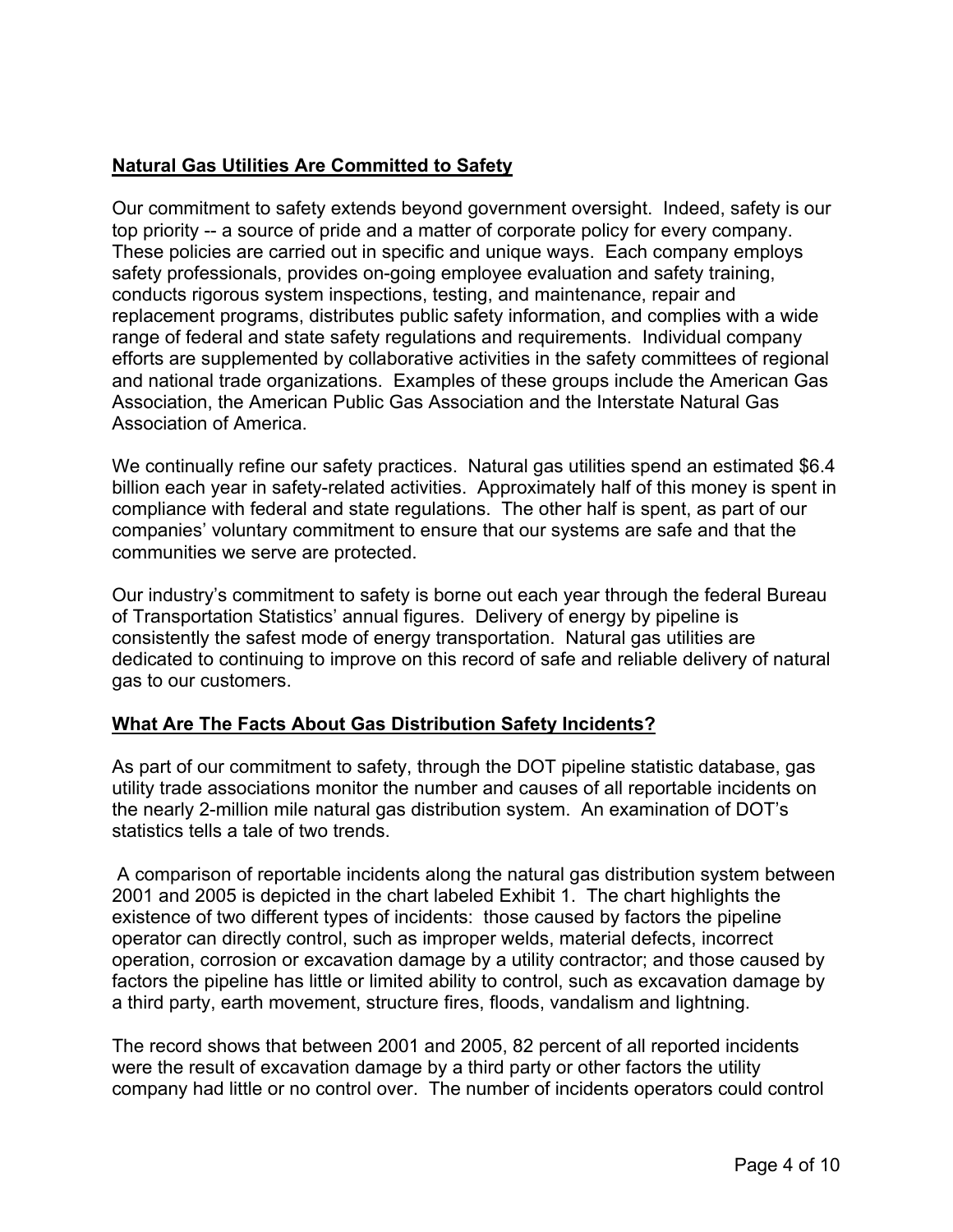# **Natural Gas Utilities Are Committed to Safety**

Our commitment to safety extends beyond government oversight. Indeed, safety is our top priority -- a source of pride and a matter of corporate policy for every company. These policies are carried out in specific and unique ways. Each company employs safety professionals, provides on-going employee evaluation and safety training, conducts rigorous system inspections, testing, and maintenance, repair and replacement programs, distributes public safety information, and complies with a wide range of federal and state safety regulations and requirements. Individual company efforts are supplemented by collaborative activities in the safety committees of regional and national trade organizations. Examples of these groups include the American Gas Association, the American Public Gas Association and the Interstate Natural Gas Association of America.

We continually refine our safety practices. Natural gas utilities spend an estimated \$6.4 billion each year in safety-related activities. Approximately half of this money is spent in compliance with federal and state regulations. The other half is spent, as part of our companies' voluntary commitment to ensure that our systems are safe and that the communities we serve are protected.

Our industry's commitment to safety is borne out each year through the federal Bureau of Transportation Statistics' annual figures. Delivery of energy by pipeline is consistently the safest mode of energy transportation. Natural gas utilities are dedicated to continuing to improve on this record of safe and reliable delivery of natural gas to our customers.

# **What Are The Facts About Gas Distribution Safety Incidents?**

As part of our commitment to safety, through the DOT pipeline statistic database, gas utility trade associations monitor the number and causes of all reportable incidents on the nearly 2-million mile natural gas distribution system. An examination of DOT's statistics tells a tale of two trends.

 A comparison of reportable incidents along the natural gas distribution system between 2001 and 2005 is depicted in the chart labeled Exhibit 1. The chart highlights the existence of two different types of incidents: those caused by factors the pipeline operator can directly control, such as improper welds, material defects, incorrect operation, corrosion or excavation damage by a utility contractor; and those caused by factors the pipeline has little or limited ability to control, such as excavation damage by a third party, earth movement, structure fires, floods, vandalism and lightning.

The record shows that between 2001 and 2005, 82 percent of all reported incidents were the result of excavation damage by a third party or other factors the utility company had little or no control over. The number of incidents operators could control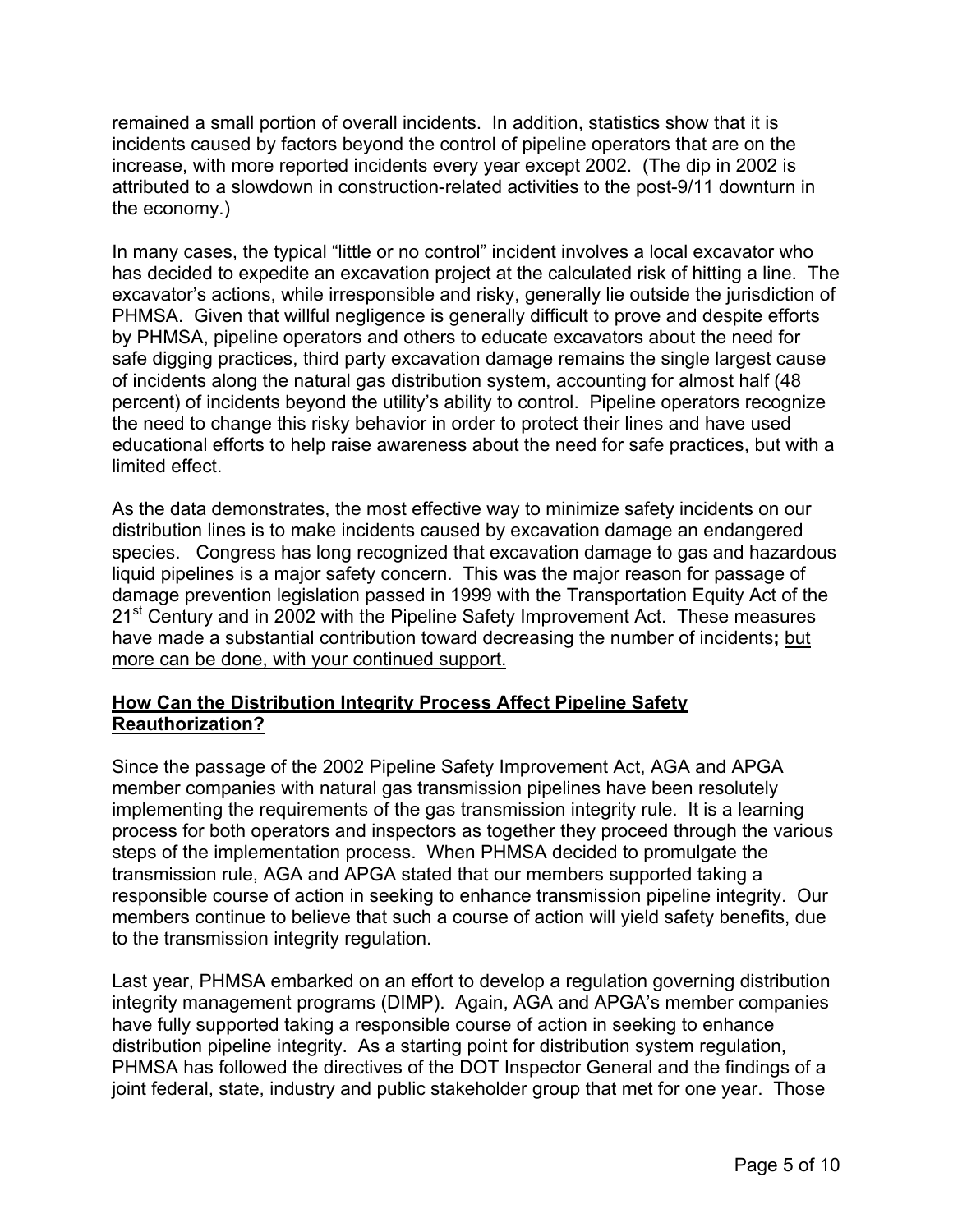remained a small portion of overall incidents. In addition, statistics show that it is incidents caused by factors beyond the control of pipeline operators that are on the increase, with more reported incidents every year except 2002. (The dip in 2002 is attributed to a slowdown in construction-related activities to the post-9/11 downturn in the economy.)

In many cases, the typical "little or no control" incident involves a local excavator who has decided to expedite an excavation project at the calculated risk of hitting a line. The excavator's actions, while irresponsible and risky, generally lie outside the jurisdiction of PHMSA. Given that willful negligence is generally difficult to prove and despite efforts by PHMSA, pipeline operators and others to educate excavators about the need for safe digging practices, third party excavation damage remains the single largest cause of incidents along the natural gas distribution system, accounting for almost half (48 percent) of incidents beyond the utility's ability to control. Pipeline operators recognize the need to change this risky behavior in order to protect their lines and have used educational efforts to help raise awareness about the need for safe practices, but with a limited effect.

As the data demonstrates, the most effective way to minimize safety incidents on our distribution lines is to make incidents caused by excavation damage an endangered species. Congress has long recognized that excavation damage to gas and hazardous liquid pipelines is a major safety concern. This was the major reason for passage of damage prevention legislation passed in 1999 with the Transportation Equity Act of the 21<sup>st</sup> Century and in 2002 with the Pipeline Safety Improvement Act. These measures have made a substantial contribution toward decreasing the number of incidents**;** but more can be done, with your continued support.

# **How Can the Distribution Integrity Process Affect Pipeline Safety Reauthorization?**

Since the passage of the 2002 Pipeline Safety Improvement Act, AGA and APGA member companies with natural gas transmission pipelines have been resolutely implementing the requirements of the gas transmission integrity rule. It is a learning process for both operators and inspectors as together they proceed through the various steps of the implementation process. When PHMSA decided to promulgate the transmission rule, AGA and APGA stated that our members supported taking a responsible course of action in seeking to enhance transmission pipeline integrity. Our members continue to believe that such a course of action will yield safety benefits, due to the transmission integrity regulation.

Last year, PHMSA embarked on an effort to develop a regulation governing distribution integrity management programs (DIMP). Again, AGA and APGA's member companies have fully supported taking a responsible course of action in seeking to enhance distribution pipeline integrity. As a starting point for distribution system regulation, PHMSA has followed the directives of the DOT Inspector General and the findings of a joint federal, state, industry and public stakeholder group that met for one year. Those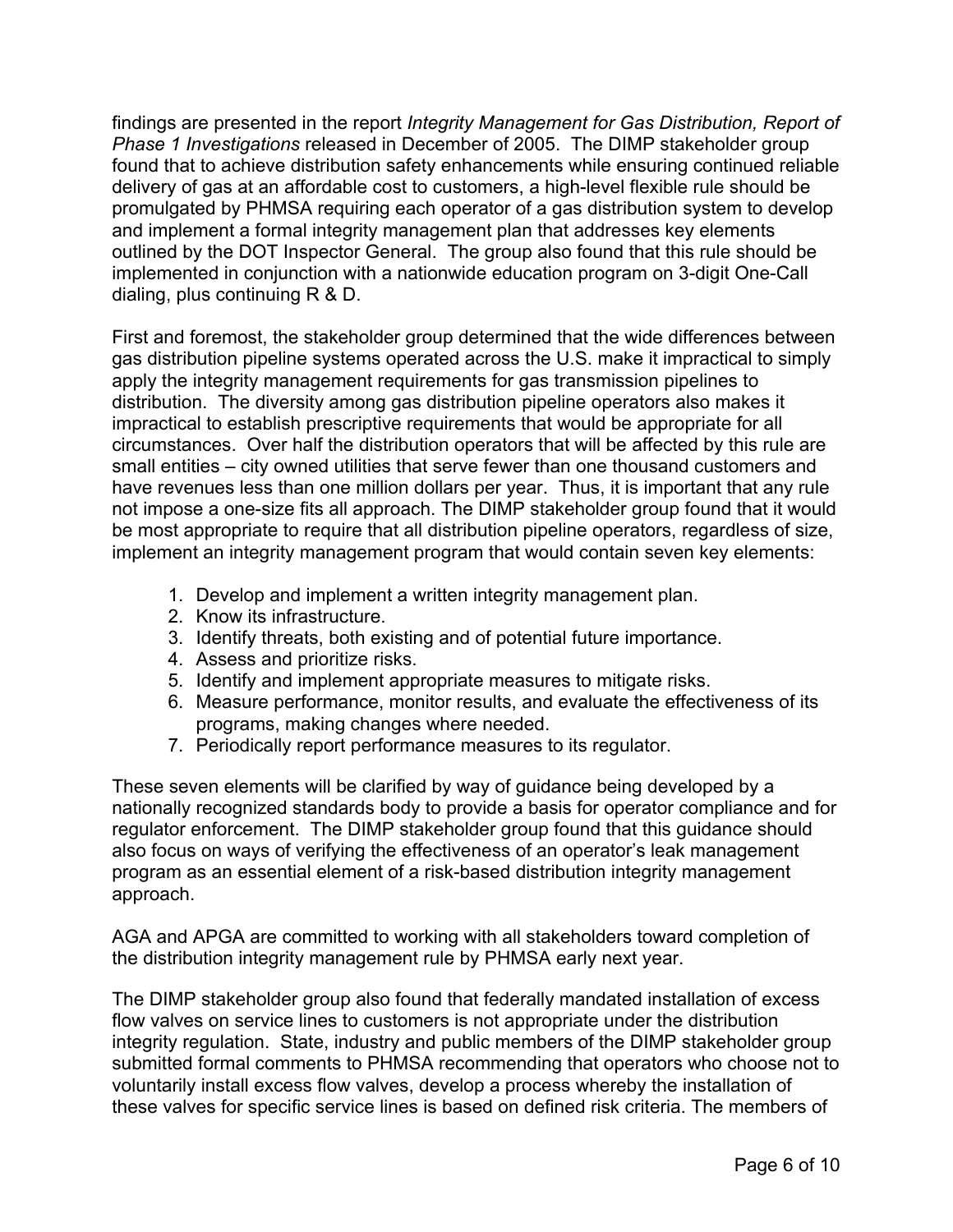findings are presented in the report *Integrity Management for Gas Distribution, Report of Phase 1 Investigations* released in December of 2005. The DIMP stakeholder group found that to achieve distribution safety enhancements while ensuring continued reliable delivery of gas at an affordable cost to customers, a high-level flexible rule should be promulgated by PHMSA requiring each operator of a gas distribution system to develop and implement a formal integrity management plan that addresses key elements outlined by the DOT Inspector General. The group also found that this rule should be implemented in conjunction with a nationwide education program on 3-digit One-Call dialing, plus continuing R & D.

First and foremost, the stakeholder group determined that the wide differences between gas distribution pipeline systems operated across the U.S. make it impractical to simply apply the integrity management requirements for gas transmission pipelines to distribution. The diversity among gas distribution pipeline operators also makes it impractical to establish prescriptive requirements that would be appropriate for all circumstances. Over half the distribution operators that will be affected by this rule are small entities – city owned utilities that serve fewer than one thousand customers and have revenues less than one million dollars per year. Thus, it is important that any rule not impose a one-size fits all approach. The DIMP stakeholder group found that it would be most appropriate to require that all distribution pipeline operators, regardless of size, implement an integrity management program that would contain seven key elements:

- 1. Develop and implement a written integrity management plan.
- 2. Know its infrastructure.
- 3. Identify threats, both existing and of potential future importance.
- 4. Assess and prioritize risks.
- 5. Identify and implement appropriate measures to mitigate risks.
- 6. Measure performance, monitor results, and evaluate the effectiveness of its programs, making changes where needed.
- 7. Periodically report performance measures to its regulator.

These seven elements will be clarified by way of guidance being developed by a nationally recognized standards body to provide a basis for operator compliance and for regulator enforcement. The DIMP stakeholder group found that this guidance should also focus on ways of verifying the effectiveness of an operator's leak management program as an essential element of a risk-based distribution integrity management approach.

AGA and APGA are committed to working with all stakeholders toward completion of the distribution integrity management rule by PHMSA early next year.

The DIMP stakeholder group also found that federally mandated installation of excess flow valves on service lines to customers is not appropriate under the distribution integrity regulation. State, industry and public members of the DIMP stakeholder group submitted formal comments to PHMSA recommending that operators who choose not to voluntarily install excess flow valves, develop a process whereby the installation of these valves for specific service lines is based on defined risk criteria. The members of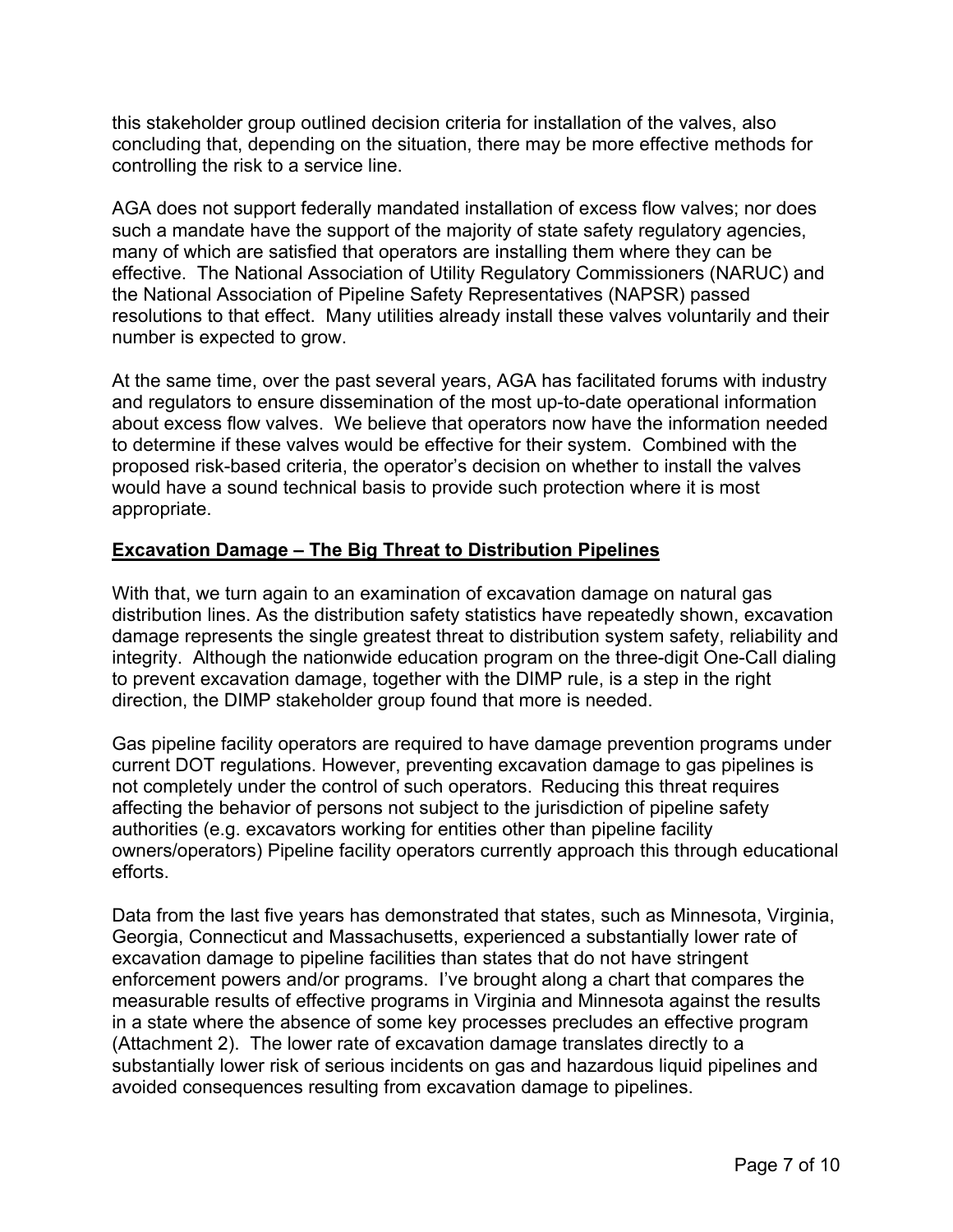this stakeholder group outlined decision criteria for installation of the valves, also concluding that, depending on the situation, there may be more effective methods for controlling the risk to a service line.

AGA does not support federally mandated installation of excess flow valves; nor does such a mandate have the support of the majority of state safety regulatory agencies, many of which are satisfied that operators are installing them where they can be effective. The National Association of Utility Regulatory Commissioners (NARUC) and the National Association of Pipeline Safety Representatives (NAPSR) passed resolutions to that effect. Many utilities already install these valves voluntarily and their number is expected to grow.

At the same time, over the past several years, AGA has facilitated forums with industry and regulators to ensure dissemination of the most up-to-date operational information about excess flow valves. We believe that operators now have the information needed to determine if these valves would be effective for their system. Combined with the proposed risk-based criteria, the operator's decision on whether to install the valves would have a sound technical basis to provide such protection where it is most appropriate.

## **Excavation Damage – The Big Threat to Distribution Pipelines**

With that, we turn again to an examination of excavation damage on natural gas distribution lines. As the distribution safety statistics have repeatedly shown, excavation damage represents the single greatest threat to distribution system safety, reliability and integrity. Although the nationwide education program on the three-digit One-Call dialing to prevent excavation damage, together with the DIMP rule, is a step in the right direction, the DIMP stakeholder group found that more is needed.

Gas pipeline facility operators are required to have damage prevention programs under current DOT regulations. However, preventing excavation damage to gas pipelines is not completely under the control of such operators. Reducing this threat requires affecting the behavior of persons not subject to the jurisdiction of pipeline safety authorities (e.g. excavators working for entities other than pipeline facility owners/operators) Pipeline facility operators currently approach this through educational efforts.

Data from the last five years has demonstrated that states, such as Minnesota, Virginia, Georgia, Connecticut and Massachusetts, experienced a substantially lower rate of excavation damage to pipeline facilities than states that do not have stringent enforcement powers and/or programs. I've brought along a chart that compares the measurable results of effective programs in Virginia and Minnesota against the results in a state where the absence of some key processes precludes an effective program (Attachment 2). The lower rate of excavation damage translates directly to a substantially lower risk of serious incidents on gas and hazardous liquid pipelines and avoided consequences resulting from excavation damage to pipelines.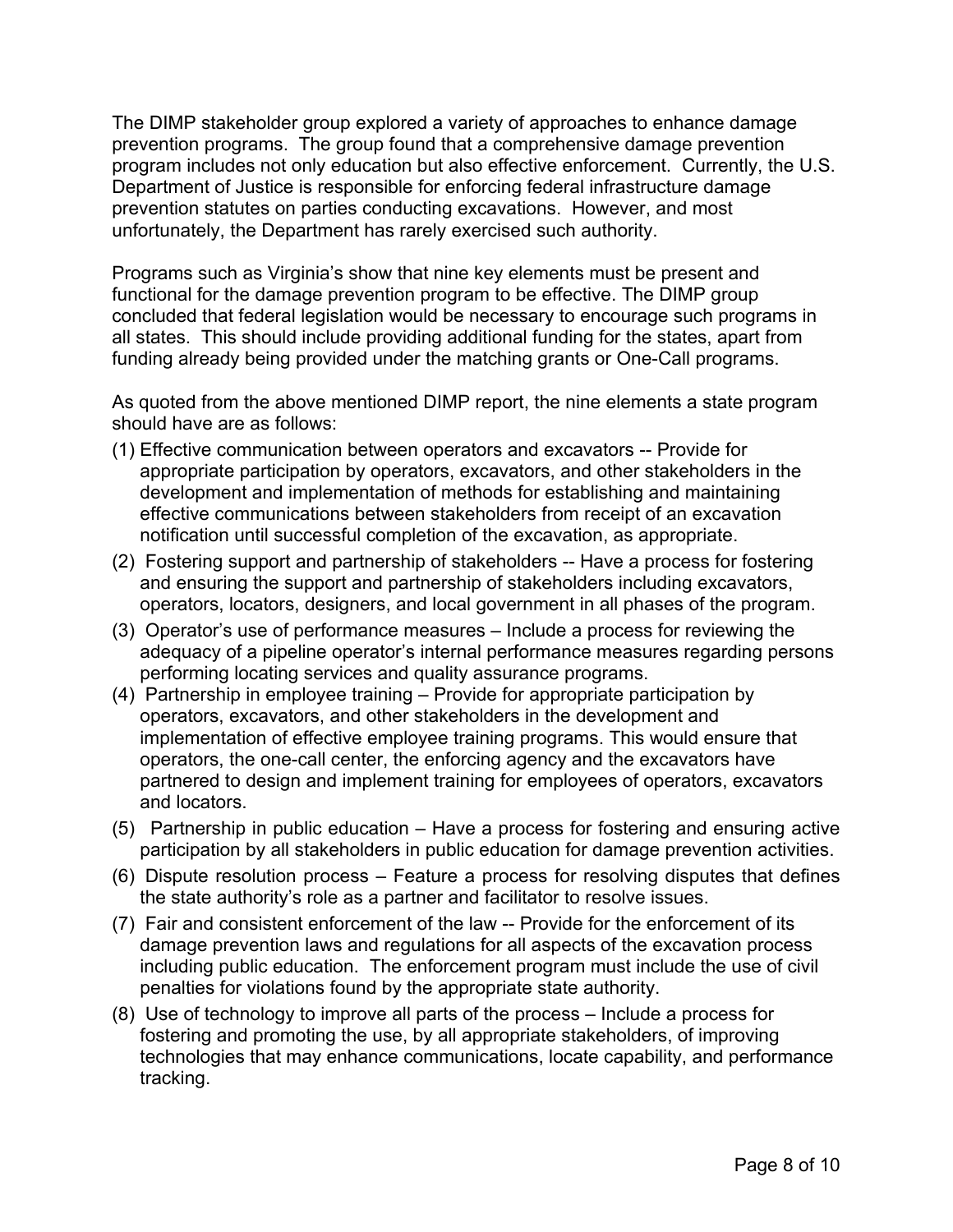The DIMP stakeholder group explored a variety of approaches to enhance damage prevention programs. The group found that a comprehensive damage prevention program includes not only education but also effective enforcement. Currently, the U.S. Department of Justice is responsible for enforcing federal infrastructure damage prevention statutes on parties conducting excavations. However, and most unfortunately, the Department has rarely exercised such authority.

Programs such as Virginia's show that nine key elements must be present and functional for the damage prevention program to be effective. The DIMP group concluded that federal legislation would be necessary to encourage such programs in all states. This should include providing additional funding for the states, apart from funding already being provided under the matching grants or One-Call programs.

As quoted from the above mentioned DIMP report, the nine elements a state program should have are as follows:

- (1) Effective communication between operators and excavators -- Provide for appropriate participation by operators, excavators, and other stakeholders in the development and implementation of methods for establishing and maintaining effective communications between stakeholders from receipt of an excavation notification until successful completion of the excavation, as appropriate.
- (2) Fostering support and partnership of stakeholders -- Have a process for fostering and ensuring the support and partnership of stakeholders including excavators, operators, locators, designers, and local government in all phases of the program.
- (3) Operator's use of performance measures Include a process for reviewing the adequacy of a pipeline operator's internal performance measures regarding persons performing locating services and quality assurance programs.
- (4) Partnership in employee training Provide for appropriate participation by operators, excavators, and other stakeholders in the development and implementation of effective employee training programs. This would ensure that operators, the one-call center, the enforcing agency and the excavators have partnered to design and implement training for employees of operators, excavators and locators.
- (5) Partnership in public education Have a process for fostering and ensuring active participation by all stakeholders in public education for damage prevention activities.
- (6) Dispute resolution process Feature a process for resolving disputes that defines the state authority's role as a partner and facilitator to resolve issues.
- (7) Fair and consistent enforcement of the law -- Provide for the enforcement of its damage prevention laws and regulations for all aspects of the excavation process including public education. The enforcement program must include the use of civil penalties for violations found by the appropriate state authority.
- (8) Use of technology to improve all parts of the process Include a process for fostering and promoting the use, by all appropriate stakeholders, of improving technologies that may enhance communications, locate capability, and performance tracking.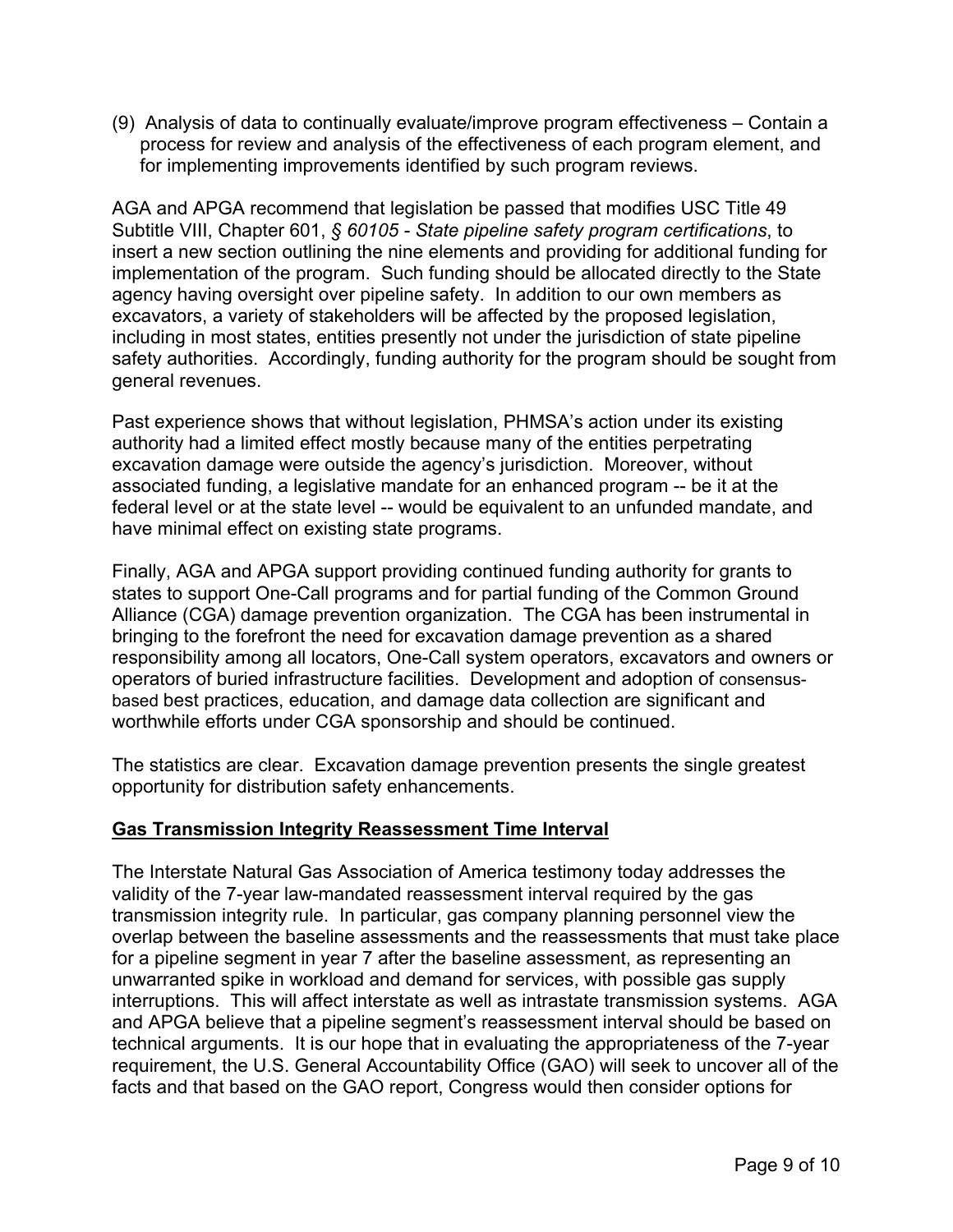(9) Analysis of data to continually evaluate/improve program effectiveness – Contain a process for review and analysis of the effectiveness of each program element, and for implementing improvements identified by such program reviews.

AGA and APGA recommend that legislation be passed that modifies USC Title 49 Subtitle VIII, Chapter 601, *§ 60105 - State pipeline safety program certifications*, to insert a new section outlining the nine elements and providing for additional funding for implementation of the program. Such funding should be allocated directly to the State agency having oversight over pipeline safety. In addition to our own members as excavators, a variety of stakeholders will be affected by the proposed legislation, including in most states, entities presently not under the jurisdiction of state pipeline safety authorities. Accordingly, funding authority for the program should be sought from general revenues.

Past experience shows that without legislation, PHMSA's action under its existing authority had a limited effect mostly because many of the entities perpetrating excavation damage were outside the agency's jurisdiction. Moreover, without associated funding, a legislative mandate for an enhanced program -- be it at the federal level or at the state level -- would be equivalent to an unfunded mandate, and have minimal effect on existing state programs.

Finally, AGA and APGA support providing continued funding authority for grants to states to support One-Call programs and for partial funding of the Common Ground Alliance (CGA) damage prevention organization. The CGA has been instrumental in bringing to the forefront the need for excavation damage prevention as a shared responsibility among all locators, One-Call system operators, excavators and owners or operators of buried infrastructure facilities. Development and adoption of consensusbased best practices, education, and damage data collection are significant and worthwhile efforts under CGA sponsorship and should be continued.

The statistics are clear. Excavation damage prevention presents the single greatest opportunity for distribution safety enhancements.

### **Gas Transmission Integrity Reassessment Time Interval**

The Interstate Natural Gas Association of America testimony today addresses the validity of the 7-year law-mandated reassessment interval required by the gas transmission integrity rule. In particular, gas company planning personnel view the overlap between the baseline assessments and the reassessments that must take place for a pipeline segment in year 7 after the baseline assessment, as representing an unwarranted spike in workload and demand for services, with possible gas supply interruptions. This will affect interstate as well as intrastate transmission systems. AGA and APGA believe that a pipeline segment's reassessment interval should be based on technical arguments. It is our hope that in evaluating the appropriateness of the 7-year requirement, the U.S. General Accountability Office (GAO) will seek to uncover all of the facts and that based on the GAO report, Congress would then consider options for